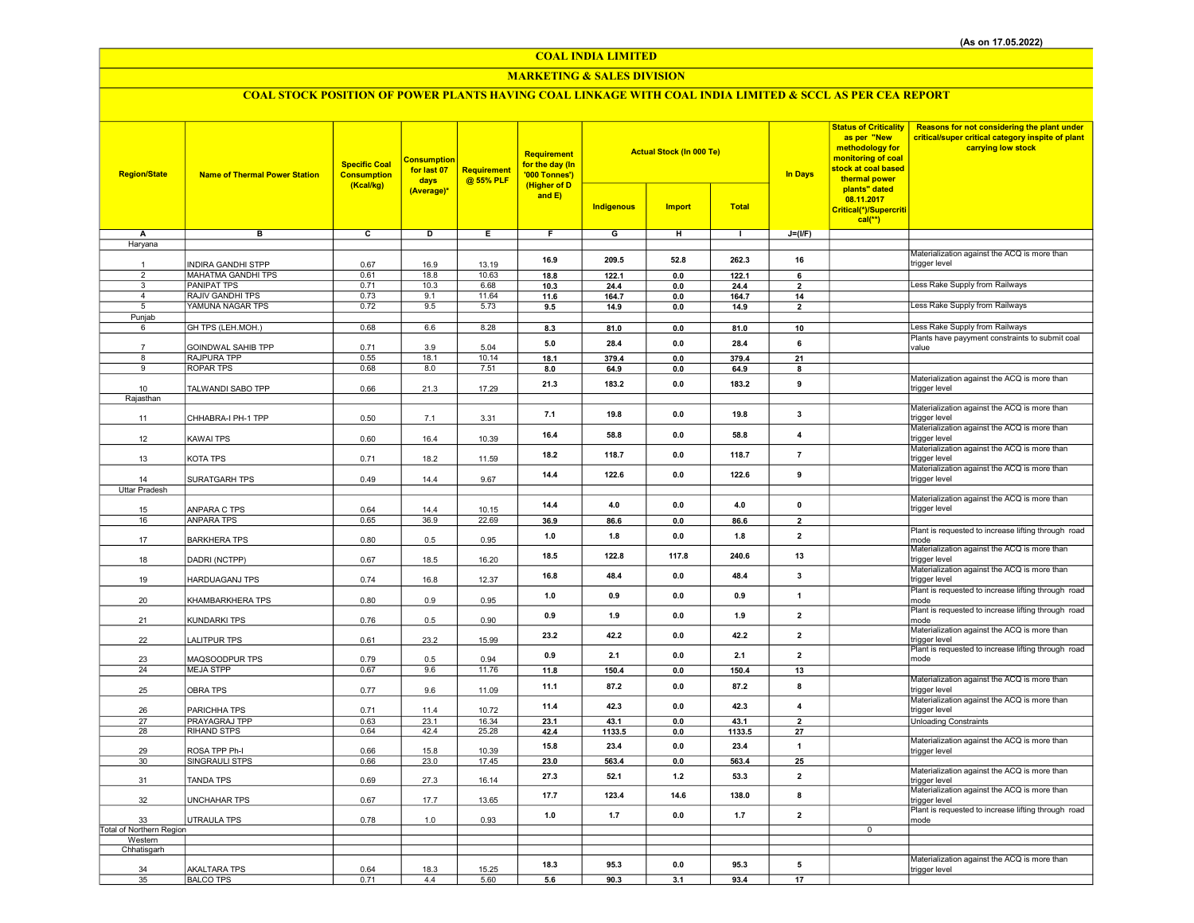## COAL INDIA LIMITED

## MARKETING & SALES DIVISION

# COAL STOCK POSITION OF POWER PLANTS HAVING COAL LINKAGE WITH COAL INDIA LIMITED & SCCL AS PER CEA REPORT

| <b>Region/State</b>              | <b>Name of Thermal Power Station</b>   | <b>Specific Coal</b><br><b>Consumption</b><br>(Kcal/kg) | <b>Consumption</b><br>for last 07<br>days<br>(Average)* | <b>Requirement</b><br>@ 55% PLF | Requirement<br>for the day (In<br>'000 Tonnes')<br>(Higher of D<br>and E) | <b>Indigenous</b> | <b>Actual Stock (In 000 Te)</b><br><b>Import</b> | <b>Total</b>  | <b>In Days</b>                | <b>Status of Criticality</b><br>as per "New<br>methodology for<br>monitoring of coal<br>stock at coal based<br>thermal power<br>plants" dated<br>08.11.2017 | Reasons for not considering the plant under<br>critical/super critical category inspite of plant<br>carrying low stock |
|----------------------------------|----------------------------------------|---------------------------------------------------------|---------------------------------------------------------|---------------------------------|---------------------------------------------------------------------------|-------------------|--------------------------------------------------|---------------|-------------------------------|-------------------------------------------------------------------------------------------------------------------------------------------------------------|------------------------------------------------------------------------------------------------------------------------|
|                                  |                                        |                                                         |                                                         |                                 |                                                                           |                   |                                                  |               |                               | Critical(*)/Supercriti<br>$cal(**)$                                                                                                                         |                                                                                                                        |
| Α                                | в                                      | c                                                       | D                                                       | Ε                               | F                                                                         | G                 | н                                                | $\mathbf{L}$  | $J=(I/F)$                     |                                                                                                                                                             |                                                                                                                        |
| Haryana                          |                                        |                                                         |                                                         |                                 |                                                                           |                   |                                                  |               |                               |                                                                                                                                                             |                                                                                                                        |
|                                  |                                        |                                                         |                                                         |                                 | 16.9                                                                      | 209.5             | 52.8                                             | 262.3         | 16                            |                                                                                                                                                             | Materialization against the ACQ is more than                                                                           |
| $\mathbf{1}$                     | <b>INDIRA GANDHI STPP</b>              | 0.67                                                    | 16.9                                                    | 13.19                           |                                                                           |                   |                                                  |               |                               |                                                                                                                                                             | trigger level                                                                                                          |
| $\overline{2}$<br>$\overline{3}$ | <b>MAHATMA GANDHI TPS</b>              | 0.61                                                    | 18.8                                                    | 10.63                           | 18.8                                                                      | 122.1             | $\mathbf{0.0}$                                   | 122.1         | 6                             |                                                                                                                                                             | Less Rake Supply from Railways                                                                                         |
| $\overline{4}$                   | <b>PANIPAT TPS</b><br>RAJIV GANDHI TPS | 0.71<br>0.73                                            | 10.3<br>9.1                                             | 6.68<br>11.64                   | 10.3<br>11.6                                                              | 24.4<br>164.7     | 0.0<br>0.0                                       | 24.4<br>164.7 | $\overline{\mathbf{2}}$<br>14 |                                                                                                                                                             |                                                                                                                        |
| 5                                | YAMUNA NAGAR TPS                       | 0.72                                                    | 9.5                                                     | 5.73                            | 9.5                                                                       | 14.9              | 0.0                                              | 14.9          | $\overline{2}$                |                                                                                                                                                             | Less Rake Supply from Railways                                                                                         |
| Punjab                           |                                        |                                                         |                                                         |                                 |                                                                           |                   |                                                  |               |                               |                                                                                                                                                             |                                                                                                                        |
| 6                                | GH TPS (LEH.MOH.)                      | 0.68                                                    | 6.6                                                     | 8.28                            | 8.3                                                                       | 81.0              | $\mathbf{0.0}$                                   | 81.0          | 10                            |                                                                                                                                                             | Less Rake Supply from Railways                                                                                         |
|                                  |                                        |                                                         |                                                         |                                 | 5.0                                                                       | 28.4              | 0.0                                              | 28.4          | 6                             |                                                                                                                                                             | Plants have payyment constraints to submit coal                                                                        |
|                                  | GOINDWAL SAHIB TPP<br>RAJPURA TPP      | 0.71<br>0.55                                            | 3.9<br>18.1                                             | 5.04<br>10.14                   |                                                                           |                   | 0.0                                              |               |                               |                                                                                                                                                             | value                                                                                                                  |
| 8<br>9                           | <b>ROPAR TPS</b>                       | 0.68                                                    | 8.0                                                     | 7.51                            | 18.1<br>8.0                                                               | 379.4<br>64.9     | 0.0                                              | 379.4<br>64.9 | 21<br>8                       |                                                                                                                                                             |                                                                                                                        |
|                                  |                                        |                                                         |                                                         |                                 |                                                                           |                   |                                                  |               |                               |                                                                                                                                                             | Materialization against the ACQ is more than                                                                           |
| 10                               | TALWANDI SABO TPP                      | 0.66                                                    | 21.3                                                    | 17.29                           | 21.3                                                                      | 183.2             | 0.0                                              | 183.2         | 9                             |                                                                                                                                                             | trigger level                                                                                                          |
| Rajasthan                        |                                        |                                                         |                                                         |                                 |                                                                           |                   |                                                  |               |                               |                                                                                                                                                             |                                                                                                                        |
| 11                               | CHHABRA-I PH-1 TPP                     | 0.50                                                    | 7.1                                                     | 3.31                            | 7.1                                                                       | 19.8              | 0.0                                              | 19.8          | 3                             |                                                                                                                                                             | Materialization against the ACQ is more than<br>trigger level                                                          |
| 12                               | <b>KAWAI TPS</b>                       | 0.60                                                    | 16.4                                                    | 10.39                           | 16.4                                                                      | 58.8              | 0.0                                              | 58.8          | 4                             |                                                                                                                                                             | Materialization against the ACQ is more than<br>trigger level                                                          |
| 13                               | KOTA TPS                               | 0.71                                                    | 18.2                                                    | 11.59                           | 18.2                                                                      | 118.7             | $0.0\,$                                          | 118.7         | $\overline{7}$                |                                                                                                                                                             | Materialization against the ACQ is more than<br>trigger level                                                          |
|                                  |                                        |                                                         |                                                         |                                 | 14.4                                                                      | 122.6             | 0.0                                              | 122.6         | 9                             |                                                                                                                                                             | Materialization against the ACQ is more than                                                                           |
| 14                               | SURATGARH TPS                          | 0.49                                                    | 14.4                                                    | 9.67                            |                                                                           |                   |                                                  |               |                               |                                                                                                                                                             | trigger level                                                                                                          |
| <b>Uttar Pradesh</b>             |                                        |                                                         |                                                         |                                 |                                                                           |                   |                                                  |               |                               |                                                                                                                                                             | Materialization against the ACQ is more than                                                                           |
| 15                               | ANPARA C TPS                           | 0.64                                                    | 14.4                                                    | 10.15                           | 14.4                                                                      | 4.0               | 0.0                                              | 4.0           | $\mathbf 0$                   |                                                                                                                                                             | trigger level                                                                                                          |
| 16                               | <b>ANPARA TPS</b>                      | 0.65                                                    | 36.9                                                    | 22.69                           | 36.9                                                                      | 86.6              | $0.0\,$                                          | 86.6          | $\overline{2}$                |                                                                                                                                                             |                                                                                                                        |
| 17                               | <b>BARKHERA TPS</b>                    | 0.80                                                    | 0.5                                                     | 0.95                            | 1.0                                                                       | 1.8               | 0.0                                              | 1.8           | $\overline{2}$                |                                                                                                                                                             | Plant is requested to increase lifting through road<br>mode                                                            |
| 18                               | DADRI (NCTPP)                          | 0.67                                                    | 18.5                                                    | 16.20                           | 18.5                                                                      | 122.8             | 117.8                                            | 240.6         | 13                            |                                                                                                                                                             | Materialization against the ACQ is more than<br>trigger level                                                          |
| 19                               | <b>HARDUAGANJ TPS</b>                  | 0.74                                                    | 16.8                                                    | 12.37                           | 16.8                                                                      | 48.4              | 0.0                                              | 48.4          | 3                             |                                                                                                                                                             | Materialization against the ACQ is more than<br>trigger level                                                          |
| 20                               | KHAMBARKHERA TPS                       | 0.80                                                    | 0.9                                                     | 0.95                            | 1.0                                                                       | 0.9               | 0.0                                              | 0.9           | $\overline{1}$                |                                                                                                                                                             | Plant is requested to increase lifting through road<br>mode                                                            |
| 21                               | KUNDARKI TPS                           | 0.76                                                    | 0.5                                                     | 0.90                            | 0.9                                                                       | 1.9               | 0.0                                              | 1.9           | $\mathbf{2}$                  |                                                                                                                                                             | Plant is requested to increase lifting through road<br>mode                                                            |
|                                  |                                        |                                                         |                                                         |                                 |                                                                           |                   |                                                  |               |                               |                                                                                                                                                             | Materialization against the ACQ is more than                                                                           |
| 22                               | <b>LALITPUR TPS</b>                    | 0.61                                                    | 23.2                                                    | 15.99                           | 23.2                                                                      | 42.2              | 0.0                                              | 42.2          | $\overline{\mathbf{2}}$       |                                                                                                                                                             | trigger level                                                                                                          |
| 23                               | MAQSOODPUR TPS                         | 0.79                                                    | 0.5                                                     | 0.94                            | 0.9                                                                       | 2.1               | 0.0                                              | 2.1           | $\overline{\mathbf{2}}$       |                                                                                                                                                             | Plant is requested to increase lifting through road<br>mode                                                            |
| 24                               | <b>MEJA STPP</b>                       | 0.67                                                    | 9.6                                                     | 11.76                           | 11.8                                                                      | 150.4             | 0.0                                              | 150.4         | 13                            |                                                                                                                                                             |                                                                                                                        |
| 25                               | <b>OBRA TPS</b>                        | 0.77                                                    | 9.6                                                     | 11.09                           | 11.1                                                                      | 87.2              | 0.0                                              | 87.2          | 8                             |                                                                                                                                                             | Materialization against the ACQ is more than<br>trigger level                                                          |
| 26                               | PARICHHA TPS                           | 0.71                                                    | 11.4                                                    | 10.72                           | 11.4                                                                      | 42.3              | 0.0                                              | 42.3          | $\overline{4}$                |                                                                                                                                                             | Materialization against the ACQ is more than<br>trigger level                                                          |
| 27                               | PRAYAGRAJ TPP                          | 0.63                                                    | 23.1                                                    | 16.34                           | 23.1                                                                      | 43.1              | 0.0                                              | 43.1          | $\overline{2}$                |                                                                                                                                                             | <b>Unloading Constraints</b>                                                                                           |
| 28                               | RIHAND STPS                            | 0.64                                                    | 42.4                                                    | 25.28                           | 42.4                                                                      | 1133.5            | 0.0                                              | 1133.5        | 27                            |                                                                                                                                                             | Materialization against the ACQ is more than                                                                           |
| 29                               | ROSA TPP Ph-I                          | 0.66                                                    | 15.8                                                    | 10.39                           | 15.8                                                                      | 23.4              | 0.0                                              | 23.4          | $\overline{1}$                |                                                                                                                                                             | trigger level                                                                                                          |
| 30                               | SINGRAULI STPS                         | 0.66                                                    | 23.0                                                    | 17.45                           | 23.0                                                                      | 563.4             | 0.0                                              | 563.4         | 25                            |                                                                                                                                                             |                                                                                                                        |
| 31                               | <b>TANDA TPS</b>                       | 0.69                                                    | 27.3                                                    | 16.14                           | 27.3                                                                      | 52.1              | $1.2$                                            | 53.3          | $\overline{2}$                |                                                                                                                                                             | Materialization against the ACQ is more than<br>trigger level                                                          |
| 32                               | <b>UNCHAHAR TPS</b>                    | 0.67                                                    | 17.7                                                    | 13.65                           | 17.7                                                                      | 123.4             | 14.6                                             | 138.0         | 8                             |                                                                                                                                                             | Materialization against the ACQ is more than<br>trigger level                                                          |
| 33                               | <b>UTRAULA TPS</b>                     | 0.78                                                    | 1.0                                                     | 0.93                            | 1.0                                                                       | 1.7               | 0.0                                              | 1.7           | $\overline{2}$                |                                                                                                                                                             | Plant is requested to increase lifting through road<br>mode                                                            |
| Total of Northern Region         |                                        |                                                         |                                                         |                                 |                                                                           |                   |                                                  |               |                               | $\overline{0}$                                                                                                                                              |                                                                                                                        |
| Western                          |                                        |                                                         |                                                         |                                 |                                                                           |                   |                                                  |               |                               |                                                                                                                                                             |                                                                                                                        |
| Chhatisgarh                      |                                        |                                                         |                                                         |                                 |                                                                           |                   |                                                  |               |                               |                                                                                                                                                             |                                                                                                                        |
| 34                               | <b>AKALTARA TPS</b>                    | 0.64                                                    | 18.3                                                    | 15.25                           | 18.3                                                                      | 953               | 0.0                                              | 95.3          | 5                             |                                                                                                                                                             | Materialization against the ACQ is more than<br>trigger level                                                          |
| 35                               | <b>BALCO TPS</b>                       | 0.71                                                    | 4.4                                                     | 5.60                            | 5.6                                                                       | 90.3              | 3.1                                              | 93.4          | 17                            |                                                                                                                                                             |                                                                                                                        |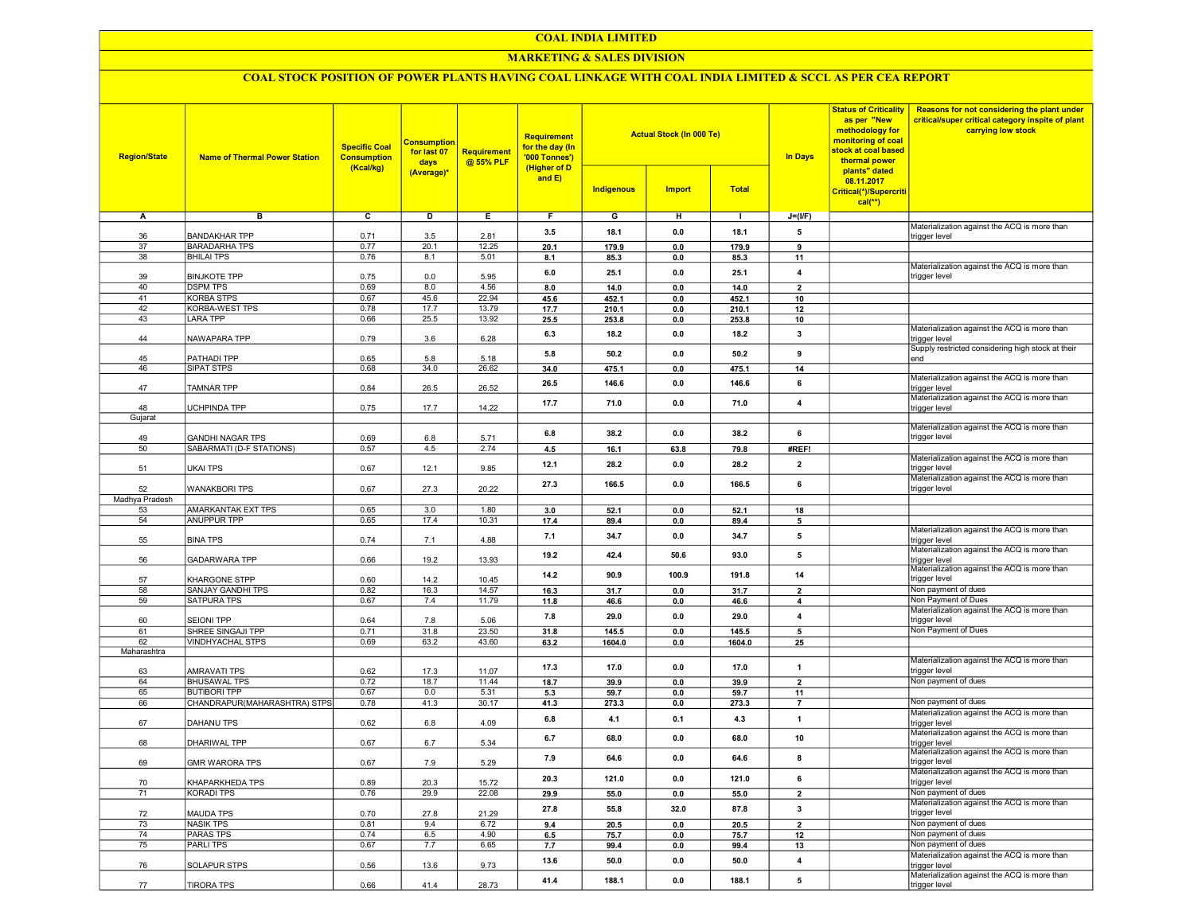#### COAL INDIA LIMITED

## MARKETING & SALES DIVISION

## COAL STOCK POSITION OF POWER PLANTS HAVING COAL LINKAGE WITH COAL INDIA LIMITED & SCCL AS PER CEA REPORT

| <b>Region/State</b> | <b>Name of Thermal Power Station</b> | <b>Specific Coal</b><br><b>Consumption</b><br>(Kcal/kg) | <b>Consumption</b><br>for last 07<br>days | <b>Requirement</b><br>@ 55% PLF | <b>Requirement</b><br>for the day (In<br>'000 Tonnes')<br>(Higher of D |                | <b>Actual Stock (In 000 Te)</b> |                | <b>In Days</b>          | <b>Status of Criticality</b><br>as per "New<br>methodology for<br>monitoring of coal<br>stock at coal based<br>thermal power | Reasons for not considering the plant under<br>critical/super critical category inspite of plant<br>carrying low stock |
|---------------------|--------------------------------------|---------------------------------------------------------|-------------------------------------------|---------------------------------|------------------------------------------------------------------------|----------------|---------------------------------|----------------|-------------------------|------------------------------------------------------------------------------------------------------------------------------|------------------------------------------------------------------------------------------------------------------------|
|                     |                                      |                                                         | (Average)*                                |                                 | and $E$ )                                                              | Indigenous     | <b>Import</b>                   | <b>Total</b>   |                         | plants" dated<br>08.11.2017<br>Critical(*)/Supercriti<br>$cal(**)$                                                           |                                                                                                                        |
| Α                   | в                                    | $\overline{c}$                                          | D                                         | Е.                              | F.                                                                     | G              | н                               | -1             | $J=(I/F)$               |                                                                                                                              |                                                                                                                        |
|                     | <b>BANDAKHAR TPP</b>                 | 0.71                                                    | 3.5                                       | 2.81                            | 3.5                                                                    | 18.1           | 0.0                             | 18.1           | 5                       |                                                                                                                              | Materialization against the ACQ is more than<br>trigger level                                                          |
| 36<br>37            | <b>BARADARHA TPS</b>                 | 0.77                                                    | 20.1                                      | 12.25                           | 20.1                                                                   | 179.9          | 0.0                             | 179.9          | 9                       |                                                                                                                              |                                                                                                                        |
| 38                  | <b>BHILAI TPS</b>                    | 0.76                                                    | 8.1                                       | 5.01                            | 8.1                                                                    | 85.3           | 0.0                             | 85.3           | 11                      |                                                                                                                              |                                                                                                                        |
|                     |                                      |                                                         |                                           |                                 | 6.0                                                                    | 25.1           | 0.0                             | 25.1           | 4                       |                                                                                                                              | Materialization against the ACQ is more than                                                                           |
| 39                  | <b>BINJKOTE TPP</b>                  | 0.75                                                    | 0.0                                       | 5.95                            |                                                                        |                |                                 |                |                         |                                                                                                                              | trigger level                                                                                                          |
| 40                  | <b>DSPM TPS</b><br><b>KORBA STPS</b> | 0.69                                                    | 8.0                                       | 4.56<br>22.94                   | 8.0                                                                    | 14.0           | 0.0                             | 14.0           | $\overline{\mathbf{2}}$ |                                                                                                                              |                                                                                                                        |
| 41<br>42            | KORBA-WEST TPS                       | 0.67<br>0.78                                            | 45.6<br>17.7                              | 13.79                           | 45.6<br>17.7                                                           | 452.1<br>210.1 | 0.0<br>0.0                      | 452.1<br>210.1 | 10<br>12                |                                                                                                                              |                                                                                                                        |
| 43                  | LARA TPP                             | 0.66                                                    | 25.5                                      | 13.92                           | 25.5                                                                   | 253.8          | 0.0                             | 253.8          | 10                      |                                                                                                                              |                                                                                                                        |
|                     |                                      |                                                         |                                           |                                 |                                                                        |                |                                 |                |                         |                                                                                                                              | Materialization against the ACQ is more than                                                                           |
| 44                  | NAWAPARA TPP                         | 0.79                                                    | 3.6                                       | 6.28                            | 6.3                                                                    | 18.2           | 0.0                             | 18.2           | 3                       |                                                                                                                              | trigger level                                                                                                          |
| 45                  | PATHADI TPP                          | 0.65                                                    | 5.8                                       | 5.18                            | 5.8                                                                    | 50.2           | 0.0                             | 50.2           | 9                       |                                                                                                                              | Supply restricted considering high stock at their<br>end                                                               |
| 46                  | <b>SIPAT STPS</b>                    | 0.68                                                    | 34.0                                      | 26.62                           | 34.0                                                                   | 475.1          | 0.0                             | 475.1          | 14                      |                                                                                                                              |                                                                                                                        |
|                     |                                      |                                                         |                                           |                                 |                                                                        |                |                                 |                |                         |                                                                                                                              | Materialization against the ACQ is more than                                                                           |
| 47                  | TAMNAR TPP                           | 0.84                                                    | 26.5                                      | 26.52                           | 26.5                                                                   | 146.6          | 0.0                             | 146.6          | 6                       |                                                                                                                              | trigger level                                                                                                          |
|                     |                                      |                                                         |                                           |                                 | 17.7                                                                   | 71.0           | 0.0                             | 71.0           | 4                       |                                                                                                                              | Materialization against the ACQ is more than                                                                           |
| 48<br>Gujarat       | UCHPINDA TPP                         | 0.75                                                    | 17.7                                      | 14.22                           |                                                                        |                |                                 |                |                         |                                                                                                                              | trigger level                                                                                                          |
|                     |                                      |                                                         |                                           |                                 |                                                                        |                |                                 |                |                         |                                                                                                                              | Materialization against the ACQ is more than                                                                           |
| 49                  | GANDHI NAGAR TPS                     | 0.69                                                    | 6.8                                       | 5.71                            | 6.8                                                                    | 38.2           | 0.0                             | 38.2           | 6                       |                                                                                                                              | trigger level                                                                                                          |
| 50                  | SABARMATI (D-F STATIONS)             | 0.57                                                    | 4.5                                       | 2.74                            | 4.5                                                                    | 16.1           | 63.8                            | 79.8           | #REF!                   |                                                                                                                              |                                                                                                                        |
|                     |                                      |                                                         |                                           |                                 | 12.1                                                                   | 28.2           | 0.0                             | 28.2           | $\overline{2}$          |                                                                                                                              | Materialization against the ACQ is more than<br>triaaer level                                                          |
| 51                  | UKAI TPS                             | 0.67                                                    | 12.1                                      | 9.85                            |                                                                        |                |                                 |                |                         |                                                                                                                              | Materialization against the ACQ is more than                                                                           |
| 52                  | <b>WANAKBORI TPS</b>                 | 0.67                                                    | 27.3                                      | 20.22                           | 27.3                                                                   | 166.5          | 0.0                             | 166.5          | 6                       |                                                                                                                              | trigger level                                                                                                          |
| Madhya Pradesh      |                                      |                                                         |                                           |                                 |                                                                        |                |                                 |                |                         |                                                                                                                              |                                                                                                                        |
| 53                  | AMARKANTAK EXT TPS                   | 0.65                                                    | 3.0                                       | 1.80                            | 3.0                                                                    | 52.1           | 0.0                             | 52.1           | 18                      |                                                                                                                              |                                                                                                                        |
| 54                  | <b>ANUPPUR TPP</b>                   | 0.65                                                    | 17.4                                      | 10.31                           | 17.4                                                                   | 89.4           | 0.0                             | 89.4           | 5                       |                                                                                                                              |                                                                                                                        |
| 55                  | <b>BINA TPS</b>                      | 0.74                                                    | 7.1                                       | 4.88                            | 7.1                                                                    | 34.7           | 0.0                             | 34.7           | 5                       |                                                                                                                              | Materialization against the ACQ is more than<br>trigger level                                                          |
|                     |                                      |                                                         |                                           |                                 |                                                                        |                |                                 |                |                         |                                                                                                                              | Materialization against the ACQ is more than                                                                           |
| 56                  | GADARWARA TPP                        | 0.66                                                    | 19.2                                      | 13.93                           | 19.2                                                                   | 42.4           | 50.6                            | 93.0           | 5                       |                                                                                                                              | trigger level                                                                                                          |
|                     |                                      |                                                         |                                           |                                 | 14.2                                                                   | 90.9           | 100.9                           | 191.8          | 14                      |                                                                                                                              | Materialization against the ACQ is more than                                                                           |
| 57<br>58            | KHARGONE STPP<br>SANJAY GANDHI TPS   | 0.60<br>0.82                                            | 14.2<br>16.3                              | 10.45<br>14.57                  |                                                                        |                | 0.0                             |                | $\overline{\mathbf{2}}$ |                                                                                                                              | trigger level<br>Non payment of dues                                                                                   |
| 59                  | <b>SATPURA TPS</b>                   | 0.67                                                    | 7.4                                       | 11.79                           | 16.3<br>11.8                                                           | 31.7<br>46.6   | 0.0                             | 31.7<br>46.6   | 4                       |                                                                                                                              | Non Payment of Dues                                                                                                    |
|                     |                                      |                                                         |                                           |                                 |                                                                        |                |                                 |                |                         |                                                                                                                              | Materialization against the ACQ is more than                                                                           |
| 60                  | SEIONI TPP                           | 0.64                                                    | 7.8                                       | 5.06                            | 7.8                                                                    | 29.0           | 0.0                             | 29.0           | 4                       |                                                                                                                              | trigger level                                                                                                          |
| 61                  | SHREE SINGAJI TPP                    | 0.71                                                    | 31.8                                      | 23.50                           | 31.8                                                                   | 145.5          | 0.0                             | 145.5          | 5                       |                                                                                                                              | Non Payment of Dues                                                                                                    |
| 62                  | VINDHYACHAL STPS                     | 0.69                                                    | 63.2                                      | 43.60                           | 63.2                                                                   | 1604.0         | 0.0                             | 1604.0         | 25                      |                                                                                                                              |                                                                                                                        |
| Maharashtra         |                                      |                                                         |                                           |                                 |                                                                        |                |                                 |                |                         |                                                                                                                              | Materialization against the ACQ is more than                                                                           |
| 63                  | AMRAVATI TPS                         | 0.62                                                    | 17.3                                      | 11.07                           | 17.3                                                                   | 17.0           | 0.0                             | 17.0           | 1                       |                                                                                                                              | trigger level                                                                                                          |
| 64                  | <b>BHUSAWAL TPS</b>                  | 0.72                                                    | 18.7                                      | 11.44                           | 18.7                                                                   | 39.9           | 0.0                             | 39.9           | $\overline{2}$          |                                                                                                                              | Non payment of dues                                                                                                    |
| 65                  | <b>BUTIBORI TPP</b>                  | 0.67                                                    | 0.0                                       | 5.31                            | 5.3                                                                    | 59.7           | 0.0                             | 59.7           | 11                      |                                                                                                                              |                                                                                                                        |
| 66                  | CHANDRAPUR(MAHARASHTRA) STPS         | 0.78                                                    | 41.3                                      | 30.17                           | 41.3                                                                   | 273.3          | 0.0                             | 273.3          | $\overline{7}$          |                                                                                                                              | Non payment of dues                                                                                                    |
| 67                  | DAHANU TPS                           | 0.62                                                    | 6.8                                       | 4.09                            | 6.8                                                                    | 4.1            | 0.1                             | 4.3            | $\mathbf{1}$            |                                                                                                                              | Materialization against the ACQ is more than<br>trigger level                                                          |
|                     |                                      |                                                         |                                           |                                 |                                                                        |                |                                 |                |                         |                                                                                                                              | Materialization against the ACQ is more than                                                                           |
| 68                  | DHARIWAL TPP                         | 0.67                                                    | 6.7                                       | 5.34                            | 6.7                                                                    | 68.0           | 0.0                             | 68.0           | 10                      |                                                                                                                              | trigger level                                                                                                          |
| 69                  | <b>GMR WARORA TPS</b>                | 0.67                                                    | 7.9                                       | 5.29                            | 7.9                                                                    | 64.6           | 0.0                             | 64.6           | 8                       |                                                                                                                              | Materialization against the ACQ is more than<br>trigger level                                                          |
|                     |                                      |                                                         |                                           |                                 |                                                                        |                |                                 |                |                         |                                                                                                                              | Materialization against the ACQ is more than                                                                           |
| 70                  | KHAPARKHEDA TPS                      | 0.89                                                    | 20.3                                      | 15.72                           | 20.3                                                                   | 121.0          | 0.0                             | 121.0          | 6                       |                                                                                                                              | trigger level                                                                                                          |
| 71                  | <b>KORADI TPS</b>                    | 0.76                                                    | 29.9                                      | 22.08                           | 29.9                                                                   | 55.0           | 0.0                             | 55.0           | $\overline{2}$          |                                                                                                                              | Non payment of dues                                                                                                    |
|                     |                                      |                                                         |                                           |                                 | 27.8                                                                   | 55.8           | 32.0                            | 87.8           | $\mathbf{3}$            |                                                                                                                              | Materialization against the ACQ is more than                                                                           |
| 72                  | MAUDA TPS                            | 0.70                                                    | 27.8                                      | 21.29                           |                                                                        |                |                                 |                |                         |                                                                                                                              | trigger level                                                                                                          |
| 73<br>74            | <b>NASIK TPS</b><br><b>PARAS TPS</b> | 0.81<br>0.74                                            | 9.4<br>6.5                                | 6.72<br>4.90                    | 9.4                                                                    | 20.5           | 0.0                             | 20.5           | $\overline{2}$<br>12    |                                                                                                                              | Non payment of dues<br>Non payment of dues                                                                             |
| 75                  | <b>PARLITPS</b>                      | 0.67                                                    | 7.7                                       | 6.65                            | 6.5<br>7.7                                                             | 75.7<br>99.4   | 0.0<br>0.0                      | 75.7<br>99.4   | 13                      |                                                                                                                              | Non payment of dues                                                                                                    |
|                     |                                      |                                                         |                                           |                                 |                                                                        |                |                                 |                |                         |                                                                                                                              | Materialization against the ACQ is more than                                                                           |
| 76                  | SOLAPUR STPS                         | 0.56                                                    | 13.6                                      | 9.73                            | 13.6                                                                   | 50.0           | 0.0                             | 50.0           | 4                       |                                                                                                                              | trigger level                                                                                                          |
|                     |                                      |                                                         |                                           |                                 | 41.4                                                                   | 188.1          | 0.0                             | 188.1          | 5                       |                                                                                                                              | Materialization against the ACQ is more than                                                                           |
| 77                  | TIRORA TPS                           | 0.66                                                    | 41.4                                      | 28.73                           |                                                                        |                |                                 |                |                         |                                                                                                                              | trigger level                                                                                                          |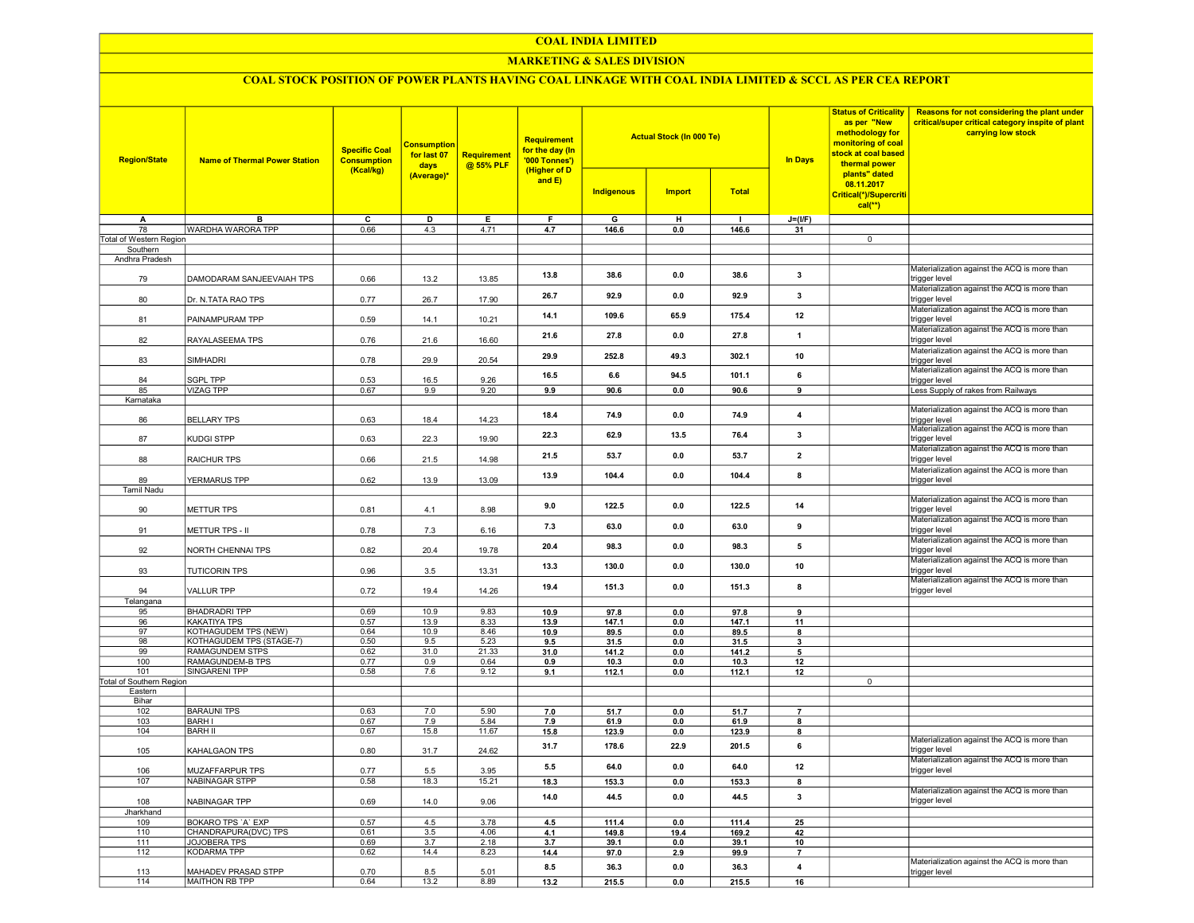#### COAL INDIA LIMITED

## MARKETING & SALES DIVISION

# COAL STOCK POSITION OF POWER PLANTS HAVING COAL LINKAGE WITH COAL INDIA LIMITED & SCCL AS PER CEA REPORT

| <b>Region/State</b>             | <b>Name of Thermal Power Station</b> | <b>Specific Coal</b><br><b>Consumption</b><br>(Kcal/kg) | <b>Consumption</b><br>for last 07<br>days | <b>Requirement</b><br>@ 55% PLF | Requirement<br>for the day (In<br>'000 Tonnes')<br>(Higher of D |                   | <b>Actual Stock (In 000 Te)</b> |              | In Days                 | <b>Status of Criticality</b><br>as per "New<br>methodology for<br>monitoring of coal<br>stock at coal based<br>thermal power<br>plants" dated | Reasons for not considering the plant under<br>critical/super critical category inspite of plant<br>carrying low stock |
|---------------------------------|--------------------------------------|---------------------------------------------------------|-------------------------------------------|---------------------------------|-----------------------------------------------------------------|-------------------|---------------------------------|--------------|-------------------------|-----------------------------------------------------------------------------------------------------------------------------------------------|------------------------------------------------------------------------------------------------------------------------|
|                                 |                                      |                                                         | (Average)*                                |                                 | and $E$ )                                                       | <b>Indigenous</b> | <b>Import</b>                   | <b>Total</b> |                         | 08.11.2017<br>Critical(*)/Supercriti<br>$cal(**)$                                                                                             |                                                                                                                        |
| Α                               | B                                    | $\overline{\mathsf{c}}$                                 | D                                         | Е                               | F                                                               | G                 | H                               | $\mathbf{I}$ | $J=(I/F)$               |                                                                                                                                               |                                                                                                                        |
| 78                              | WARDHA WARORA TPP                    | 0.66                                                    | 4.3                                       | 4.71                            | 4.7                                                             | 146.6             | 0.0                             | 146.6        | 31                      |                                                                                                                                               |                                                                                                                        |
| Total of Western Region         |                                      |                                                         |                                           |                                 |                                                                 |                   |                                 |              |                         | $\overline{0}$                                                                                                                                |                                                                                                                        |
| Southern<br>Andhra Pradesh      |                                      |                                                         |                                           |                                 |                                                                 |                   |                                 |              |                         |                                                                                                                                               |                                                                                                                        |
| 79                              | DAMODARAM SANJEEVAIAH TPS            | 0.66                                                    | 13.2                                      | 13.85                           | 13.8                                                            | 38.6              | 0.0                             | 38.6         | $\overline{\mathbf{3}}$ |                                                                                                                                               | Materialization against the ACQ is more than<br>trigger level                                                          |
| 80                              | Dr. N.TATA RAO TPS                   | 0.77                                                    | 26.7                                      | 17.90                           | 26.7                                                            | 92.9              | 0.0                             | 92.9         | 3                       |                                                                                                                                               | Materialization against the ACQ is more than<br>trigger level                                                          |
| 81                              | PAINAMPURAM TPP                      | 0.59                                                    | 14.1                                      | 10.21                           | 14.1                                                            | 109.6             | 65.9                            | 175.4        | 12                      |                                                                                                                                               | Materialization against the ACQ is more than<br>trigger level                                                          |
| 82                              | RAYALASEEMA TPS                      | 0.76                                                    | 21.6                                      | 16.60                           | 21.6                                                            | 27.8              | 0.0                             | 27.8         | $\mathbf{1}$            |                                                                                                                                               | Materialization against the ACQ is more than<br>trigger level                                                          |
| 83                              | <b>SIMHADRI</b>                      | 0.78                                                    | 29.9                                      | 20.54                           | 29.9                                                            | 252.8             | 49.3                            | 302.1        | 10                      |                                                                                                                                               | Materialization against the ACQ is more than<br>trigger level                                                          |
| 84                              | SGPL TPP                             | 0.53                                                    | 16.5                                      | 9.26                            | 16.5                                                            | 6.6               | 94.5                            | 101.1        | 6                       |                                                                                                                                               | Materialization against the ACQ is more than<br>trigger level                                                          |
| 85                              | <b>VIZAG TPP</b>                     | 0.67                                                    | 9.9                                       | 9.20                            | 9.9                                                             | 90.6              | 0.0                             | 90.6         | 9                       |                                                                                                                                               | Less Supply of rakes from Railways                                                                                     |
| Karnataka<br>86                 | <b>BELLARY TPS</b>                   | 0.63                                                    | 18.4                                      | 14.23                           | 18.4                                                            | 74.9              | 0.0                             | 74.9         | 4                       |                                                                                                                                               | Materialization against the ACQ is more than<br>trigger level                                                          |
| 87                              | KUDGI STPP                           | 0.63                                                    | 22.3                                      | 19.90                           | 22.3                                                            | 62.9              | 13.5                            | 76.4         | 3                       |                                                                                                                                               | Materialization against the ACQ is more than<br>trigger level                                                          |
| 88                              | RAICHUR TPS                          | 0.66                                                    | 21.5                                      | 14.98                           | 21.5                                                            | 53.7              | 0.0                             | 537          | $\overline{2}$          |                                                                                                                                               | Materialization against the ACQ is more than<br>trigger level                                                          |
| 89                              | YERMARUS TPP                         | 0.62                                                    | 13.9                                      | 13.09                           | 13.9                                                            | 104.4             | 0.0                             | 104.4        | 8                       |                                                                                                                                               | Materialization against the ACQ is more than<br>trigger level                                                          |
| <b>Tamil Nadu</b>               |                                      |                                                         |                                           |                                 |                                                                 |                   |                                 |              |                         |                                                                                                                                               |                                                                                                                        |
| 90                              | <b>METTUR TPS</b>                    | 0.81                                                    | 4.1                                       | 8.98                            | 9.0                                                             | 122.5             | 0.0                             | 122.5        | 14                      |                                                                                                                                               | Materialization against the ACQ is more than<br>trigger level                                                          |
| 91                              | METTUR TPS - II                      | 0.78                                                    | 7.3                                       | 6.16                            | 7.3                                                             | 63.0              | 0.0                             | 63.0         | 9                       |                                                                                                                                               | Materialization against the ACQ is more than<br>trigger level                                                          |
| 92                              | NORTH CHENNAI TPS                    | 0.82                                                    | 20.4                                      | 19.78                           | 20.4                                                            | 98.3              | 0.0                             | 98.3         | 5                       |                                                                                                                                               | Materialization against the ACQ is more than<br>trigger level<br>Materialization against the ACQ is more than          |
| 93                              | <b>TUTICORIN TPS</b>                 | 0.96                                                    | 3.5                                       | 13.31                           | 13.3                                                            | 130.0             | 0.0                             | 130.0        | 10                      |                                                                                                                                               | trigger level<br>Materialization against the ACQ is more than                                                          |
| 94<br>Telangana                 | <b>VALLUR TPP</b>                    | 0.72                                                    | 19.4                                      | 14.26                           | 19.4                                                            | 151.3             | 0.0                             | 151.3        | 8                       |                                                                                                                                               | trigger level                                                                                                          |
| 95                              | <b>BHADRADRI TPP</b>                 | 0.69                                                    | 10.9                                      | 9.83                            | 10.9                                                            | 97.8              | 0.0                             | 97.8         | 9                       |                                                                                                                                               |                                                                                                                        |
| 96                              | KAKATIYA TPS                         | 0.57                                                    | 13.9                                      | 8.33                            | 13.9                                                            | 147.1             | 0.0                             | 147.1        | 11                      |                                                                                                                                               |                                                                                                                        |
| 97                              | KOTHAGUDEM TPS (NEW)                 | 0.64                                                    | 10.9                                      | 8.46                            | 10.9                                                            | 89.5              | 0.0                             | 89.5         | 8                       |                                                                                                                                               |                                                                                                                        |
| 98                              | KOTHAGUDEM TPS (STAGE-7)             | 0.50                                                    | 9.5                                       | 5.23                            | 9.5                                                             | 31.5              | 0.0                             | 31.5         | $\overline{\mathbf{3}}$ |                                                                                                                                               |                                                                                                                        |
| 99                              | <b>RAMAGUNDEM STPS</b>               | 0.62                                                    | 31.0                                      | 21.33                           | 31.0                                                            | 141.2             | 0.0                             | 141.2        | 5                       |                                                                                                                                               |                                                                                                                        |
| 100                             | RAMAGUNDEM-B TPS                     | 0.77                                                    | 0.9                                       | 0.64                            | 0.9                                                             | 10.3              | 0.0                             | 10.3         | 12                      |                                                                                                                                               |                                                                                                                        |
| 101<br>Total of Southern Region | <b>SINGARENI TPP</b>                 | 0.58                                                    | 7.6                                       | 9.12                            | 9.1                                                             | 112.1             | 0.0                             | 112.1        | 12                      | $\overline{0}$                                                                                                                                |                                                                                                                        |
| Eastern                         |                                      |                                                         |                                           |                                 |                                                                 |                   |                                 |              |                         |                                                                                                                                               |                                                                                                                        |
| Bihar                           |                                      |                                                         |                                           |                                 |                                                                 |                   |                                 |              |                         |                                                                                                                                               |                                                                                                                        |
| 102                             | <b>BARAUNI TPS</b>                   | 0.63                                                    | 7.0                                       | 5.90                            | 7.0                                                             | 51.7              | 0.0                             | 51.7         | $\overline{7}$          |                                                                                                                                               |                                                                                                                        |
| 103                             | <b>BARH I</b>                        | 0.67                                                    | 7.9                                       | 5.84                            | 7.9                                                             | 61.9              | 0.0                             | 61.9         | 8                       |                                                                                                                                               |                                                                                                                        |
| 104                             | <b>BARH II</b>                       | 0.67                                                    | 15.8                                      | 11.67                           | 15.8                                                            | 123.9             | 0.0                             | 123.9        | 8                       |                                                                                                                                               |                                                                                                                        |
| 105                             | KAHALGAON TPS                        | 0.80                                                    | 31.7                                      | 24.62                           | 31.7                                                            | 178.6             | 22.9                            | 201.5        | 6                       |                                                                                                                                               | Materialization against the ACQ is more than<br>trigger level                                                          |
| 106                             | MUZAFFARPUR TPS                      | 0.77                                                    | 5.5                                       | 3.95                            | 5.5                                                             | 640               | 0.0                             | 64.0         | 12                      |                                                                                                                                               | Materialization against the ACQ is more than<br>trigger level                                                          |
| 107                             | <b>NABINAGAR STPP</b>                | 0.58                                                    | 18.3                                      | 15.21                           | 18.3                                                            | 153.3             | 0.0                             | 153.3        | 8                       |                                                                                                                                               | Materialization against the ACQ is more than                                                                           |
| 108<br>Jharkhand                | NABINAGAR TPP                        | 0.69                                                    | 14.0                                      | 9.06                            | 14.0                                                            | 44.5              | 0.0                             | 44.5         | $\mathbf{3}$            |                                                                                                                                               | trigger level                                                                                                          |
| 109                             | BOKARO TPS 'A' EXP                   | 0.57                                                    | 4.5                                       | 3.78                            | 4.5                                                             | 111.4             | 0 <sub>0</sub>                  | 111.4        | 25                      |                                                                                                                                               |                                                                                                                        |
| 110                             | CHANDRAPURA(DVC) TPS                 | 0.61                                                    | 3.5                                       | 4.06                            | 4.1                                                             | 149.8             | 19.4                            | 169.2        | 42                      |                                                                                                                                               |                                                                                                                        |
| 111                             | <b>JOJOBERA TPS</b>                  | 0.69                                                    | 3.7                                       | 2.18                            | 3.7                                                             | 39.1              | 0.0                             | 39.1         | 10                      |                                                                                                                                               |                                                                                                                        |
| 112                             | <b>KODARMA TPP</b>                   | 0.62                                                    | 14.4                                      | 8.23                            | 14.4                                                            | 97.0              | 2.9                             | 99.9         | $\overline{7}$          |                                                                                                                                               |                                                                                                                        |
| 113                             | MAHADEV PRASAD STPP                  | 0.70                                                    | 8.5                                       | 5.01                            | 8.5                                                             | 36.3              | 0.0                             | 36.3         | 4                       |                                                                                                                                               | Materialization against the ACQ is more than<br>trigger level                                                          |
| 114                             | MAITHON RB TPP                       | 0.64                                                    | 13.2                                      | 8.89                            | 13.2                                                            | 215.5             | 0.0                             | 215.5        | 16                      |                                                                                                                                               |                                                                                                                        |